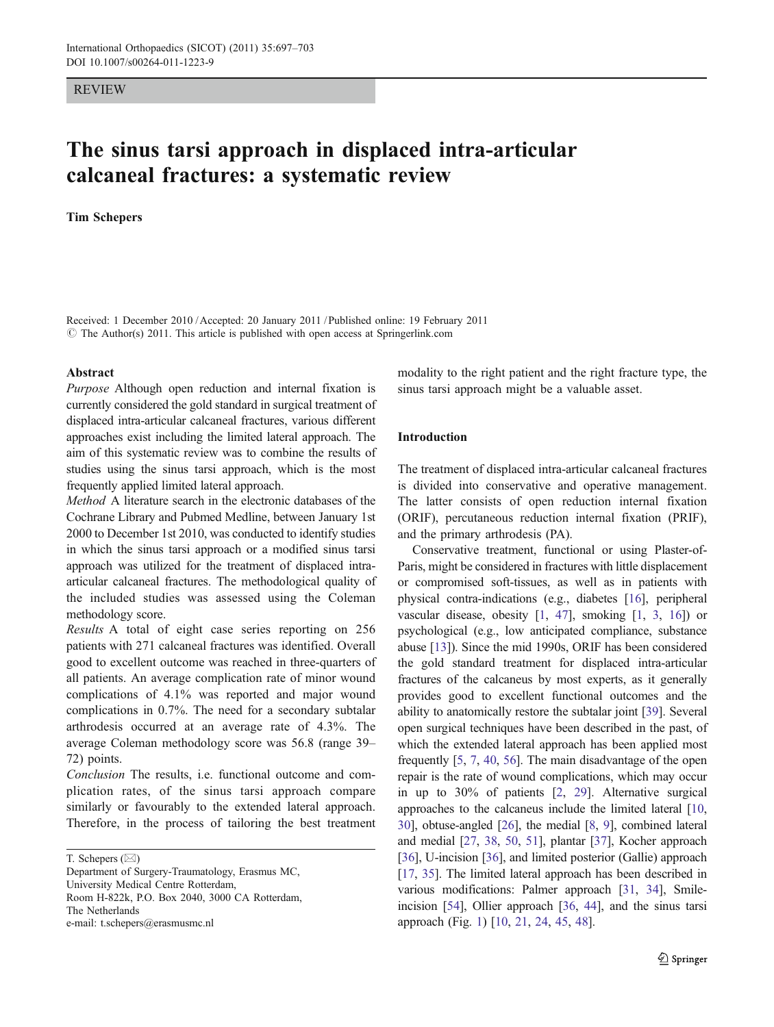#### REVIEW

# The sinus tarsi approach in displaced intra-articular calcaneal fractures: a systematic review

#### Tim Schepers

Received: 1 December 2010 /Accepted: 20 January 2011 / Published online: 19 February 2011 © The Author(s) 2011. This article is published with open access at Springerlink.com

#### Abstract

Purpose Although open reduction and internal fixation is currently considered the gold standard in surgical treatment of displaced intra-articular calcaneal fractures, various different approaches exist including the limited lateral approach. The aim of this systematic review was to combine the results of studies using the sinus tarsi approach, which is the most frequently applied limited lateral approach.

Method A literature search in the electronic databases of the Cochrane Library and Pubmed Medline, between January 1st 2000 to December 1st 2010, was conducted to identify studies in which the sinus tarsi approach or a modified sinus tarsi approach was utilized for the treatment of displaced intraarticular calcaneal fractures. The methodological quality of the included studies was assessed using the Coleman methodology score.

Results A total of eight case series reporting on 256 patients with 271 calcaneal fractures was identified. Overall good to excellent outcome was reached in three-quarters of all patients. An average complication rate of minor wound complications of 4.1% was reported and major wound complications in 0.7%. The need for a secondary subtalar arthrodesis occurred at an average rate of 4.3%. The average Coleman methodology score was 56.8 (range 39– 72) points.

Conclusion The results, i.e. functional outcome and complication rates, of the sinus tarsi approach compare similarly or favourably to the extended lateral approach. Therefore, in the process of tailoring the best treatment

T. Schepers  $(\boxtimes)$ 

Department of Surgery-Traumatology, Erasmus MC, University Medical Centre Rotterdam, Room H-822k, P.O. Box 2040, 3000 CA Rotterdam, The Netherlands e-mail: t.schepers@erasmusmc.nl

modality to the right patient and the right fracture type, the sinus tarsi approach might be a valuable asset.

## Introduction

The treatment of displaced intra-articular calcaneal fractures is divided into conservative and operative management. The latter consists of open reduction internal fixation (ORIF), percutaneous reduction internal fixation (PRIF), and the primary arthrodesis (PA).

Conservative treatment, functional or using Plaster-of-Paris, might be considered in fractures with little displacement or compromised soft-tissues, as well as in patients with physical contra-indications (e.g., diabetes [[16\]](#page-5-0), peripheral vascular disease, obesity [\[1,](#page-4-0) [47](#page-5-0)], smoking [[1,](#page-4-0) [3](#page-4-0), [16\]](#page-5-0)) or psychological (e.g., low anticipated compliance, substance abuse [\[13\]](#page-5-0)). Since the mid 1990s, ORIF has been considered the gold standard treatment for displaced intra-articular fractures of the calcaneus by most experts, as it generally provides good to excellent functional outcomes and the ability to anatomically restore the subtalar joint [\[39\]](#page-5-0). Several open surgical techniques have been described in the past, of which the extended lateral approach has been applied most frequently [[5,](#page-5-0) [7,](#page-5-0) [40](#page-5-0), [56](#page-6-0)]. The main disadvantage of the open repair is the rate of wound complications, which may occur in up to 30% of patients [\[2](#page-4-0), [29\]](#page-5-0). Alternative surgical approaches to the calcaneus include the limited lateral [\[10,](#page-5-0) [30\]](#page-5-0), obtuse-angled [\[26\]](#page-5-0), the medial [\[8](#page-5-0), [9](#page-5-0)], combined lateral and medial [\[27,](#page-5-0) [38,](#page-5-0) [50,](#page-6-0) [51\]](#page-6-0), plantar [\[37](#page-5-0)], Kocher approach [\[36](#page-5-0)], U-incision [\[36\]](#page-5-0), and limited posterior (Gallie) approach [\[17](#page-5-0), [35\]](#page-5-0). The limited lateral approach has been described in various modifications: Palmer approach [\[31](#page-5-0), [34](#page-5-0)], Smileincision [\[54\]](#page-6-0), Ollier approach [\[36,](#page-5-0) [44](#page-5-0)], and the sinus tarsi approach (Fig. [1\)](#page-1-0) [\[10,](#page-5-0) [21](#page-5-0), [24,](#page-5-0) [45](#page-5-0), [48\]](#page-6-0).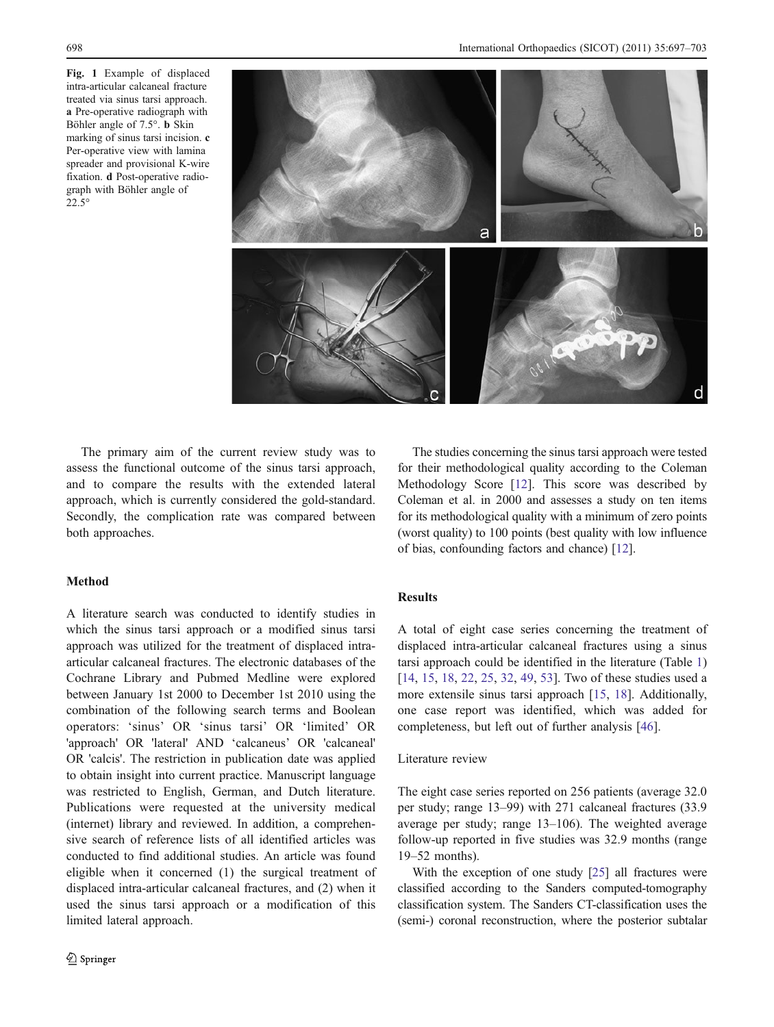<span id="page-1-0"></span>Fig. 1 Example of displaced intra-articular calcaneal fracture treated via sinus tarsi approach. a Pre-operative radiograph with Böhler angle of 7.5°. b Skin marking of sinus tarsi incision. c Per-operative view with lamina spreader and provisional K-wire fixation. d Post-operative radiograph with Böhler angle of 22.5°



The primary aim of the current review study was to assess the functional outcome of the sinus tarsi approach, and to compare the results with the extended lateral approach, which is currently considered the gold-standard. Secondly, the complication rate was compared between both approaches.

## Method

A literature search was conducted to identify studies in which the sinus tarsi approach or a modified sinus tarsi approach was utilized for the treatment of displaced intraarticular calcaneal fractures. The electronic databases of the Cochrane Library and Pubmed Medline were explored between January 1st 2000 to December 1st 2010 using the combination of the following search terms and Boolean operators: 'sinus' OR 'sinus tarsi' OR 'limited' OR 'approach' OR 'lateral' AND 'calcaneus' OR 'calcaneal' OR 'calcis'. The restriction in publication date was applied to obtain insight into current practice. Manuscript language was restricted to English, German, and Dutch literature. Publications were requested at the university medical (internet) library and reviewed. In addition, a comprehensive search of reference lists of all identified articles was conducted to find additional studies. An article was found eligible when it concerned (1) the surgical treatment of displaced intra-articular calcaneal fractures, and (2) when it used the sinus tarsi approach or a modification of this limited lateral approach.

The studies concerning the sinus tarsi approach were tested for their methodological quality according to the Coleman Methodology Score [\[12](#page-5-0)]. This score was described by Coleman et al. in 2000 and assesses a study on ten items for its methodological quality with a minimum of zero points (worst quality) to 100 points (best quality with low influence of bias, confounding factors and chance) [\[12\]](#page-5-0).

### Results

A total of eight case series concerning the treatment of displaced intra-articular calcaneal fractures using a sinus tarsi approach could be identified in the literature (Table [1](#page-2-0)) [\[14](#page-5-0), [15,](#page-5-0) [18,](#page-5-0) [22](#page-5-0), [25](#page-5-0), [32](#page-5-0), [49,](#page-6-0) [53\]](#page-6-0). Two of these studies used a more extensile sinus tarsi approach [[15,](#page-5-0) [18\]](#page-5-0). Additionally, one case report was identified, which was added for completeness, but left out of further analysis [\[46](#page-5-0)].

### Literature review

The eight case series reported on 256 patients (average 32.0 per study; range 13–99) with 271 calcaneal fractures (33.9 average per study; range 13–106). The weighted average follow-up reported in five studies was 32.9 months (range 19–52 months).

With the exception of one study [\[25\]](#page-5-0) all fractures were classified according to the Sanders computed-tomography classification system. The Sanders CT-classification uses the (semi-) coronal reconstruction, where the posterior subtalar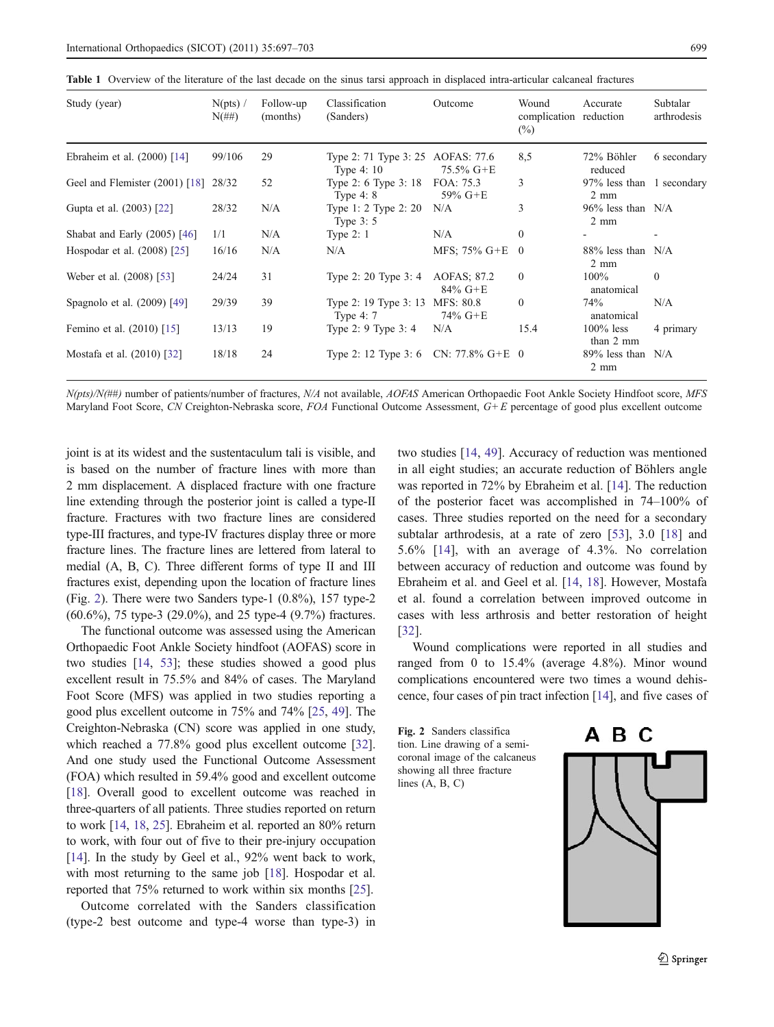<span id="page-2-0"></span>Table 1 Overview of the literature of the last decade on the sinus tarsi approach in displaced intra-articular calcaneal fractures

| Study (year)                         | N(pts)<br>$N(\#H)$ | Follow-up<br>(months) | Classification<br>(Sanders)                      | Outcome                   | Wound<br>complication reduction<br>$(\%)$ | Accurate                                    | Subtalar<br>arthrodesis |
|--------------------------------------|--------------------|-----------------------|--------------------------------------------------|---------------------------|-------------------------------------------|---------------------------------------------|-------------------------|
| Ebraheim et al. $(2000)$ [14]        | 99/106             | 29                    | Type 2: 71 Type 3: 25 AOFAS: 77.6<br>Type $4:10$ | $75.5\%$ G+E              | 8,5                                       | 72% Böhler<br>reduced                       | 6 secondary             |
| Geel and Flemister (2001) [18] 28/32 |                    | 52                    | Type 2: 6 Type 3: 18<br>Type $4:8$               | FOA: 75.3<br>$59\%$ G+E   | 3                                         | 97% less than 1 secondary<br>$2 \text{ mm}$ |                         |
| Gupta et al. (2003) [22]             | 28/32              | N/A                   | Type 1: 2 Type 2: $20$<br>Type $3:5$             | N/A                       | 3                                         | $96\%$ less than N/A<br>$2 \text{ mm}$      |                         |
| Shabat and Early $(2005)$ [46]       | 1/1                | N/A                   | Type $2:1$                                       | N/A                       | $\mathbf{0}$                              |                                             |                         |
| Hospodar et al. (2008) [25]          | 16/16              | N/A                   | N/A                                              | MFS: $75\%$ G+E           | $\theta$                                  | 88% less than N/A<br>$2 \text{ mm}$         |                         |
| Weber et al. (2008) [53]             | 24/24              | 31                    | Type 2: 20 Type 3: 4                             | AOFAS: 87.2<br>$84\%$ G+E | $\theta$                                  | $100\%$<br>anatomical                       | $\theta$                |
| Spagnolo et al. (2009) [49]          | 29/39              | 39                    | Type 2: 19 Type 3: 13<br>Type $4:7$              | MFS: 80.8<br>74% G+E      | $\theta$                                  | 74%<br>anatomical                           | N/A                     |
| Femino et al. (2010) [15]            | 13/13              | 19                    | Type 2: 9 Type 3: 4                              | N/A                       | 15.4                                      | $100\%$ less<br>than 2 mm                   | 4 primary               |
| Mostafa et al. (2010) [32]           | 18/18              | 24                    | Type 2: 12 Type 3: 6 CN: 77.8% $G+E = 0$         |                           |                                           | $89\%$ less than N/A<br>$2 \text{ mm}$      |                         |

N(pts)/N(##) number of patients/number of fractures, N/A not available, AOFAS American Orthopaedic Foot Ankle Society Hindfoot score, MFS Maryland Foot Score, CN Creighton-Nebraska score, FOA Functional Outcome Assessment, G+E percentage of good plus excellent outcome

joint is at its widest and the sustentaculum tali is visible, and is based on the number of fracture lines with more than 2 mm displacement. A displaced fracture with one fracture line extending through the posterior joint is called a type-II fracture. Fractures with two fracture lines are considered type-III fractures, and type-IV fractures display three or more fracture lines. The fracture lines are lettered from lateral to medial (A, B, C). Three different forms of type II and III fractures exist, depending upon the location of fracture lines (Fig. 2). There were two Sanders type-1 (0.8%), 157 type-2 (60.6%), 75 type-3 (29.0%), and 25 type-4 (9.7%) fractures.

The functional outcome was assessed using the American Orthopaedic Foot Ankle Society hindfoot (AOFAS) score in two studies [[14](#page-5-0), [53](#page-6-0)]; these studies showed a good plus excellent result in 75.5% and 84% of cases. The Maryland Foot Score (MFS) was applied in two studies reporting a good plus excellent outcome in 75% and 74% [\[25](#page-5-0), [49](#page-6-0)]. The Creighton-Nebraska (CN) score was applied in one study, which reached a 77.8% good plus excellent outcome [[32\]](#page-5-0). And one study used the Functional Outcome Assessment (FOA) which resulted in 59.4% good and excellent outcome [\[18\]](#page-5-0). Overall good to excellent outcome was reached in three-quarters of all patients. Three studies reported on return to work [\[14](#page-5-0), [18](#page-5-0), [25](#page-5-0)]. Ebraheim et al. reported an 80% return to work, with four out of five to their pre-injury occupation [\[14\]](#page-5-0). In the study by Geel et al., 92% went back to work, with most returning to the same job [\[18\]](#page-5-0). Hospodar et al. reported that 75% returned to work within six months [\[25\]](#page-5-0).

Outcome correlated with the Sanders classification (type-2 best outcome and type-4 worse than type-3) in two studies [[14,](#page-5-0) [49](#page-6-0)]. Accuracy of reduction was mentioned in all eight studies; an accurate reduction of Böhlers angle was reported in 72% by Ebraheim et al. [\[14](#page-5-0)]. The reduction of the posterior facet was accomplished in 74–100% of cases. Three studies reported on the need for a secondary subtalar arthrodesis, at a rate of zero [[53\]](#page-6-0), 3.0 [[18\]](#page-5-0) and 5.6% [[14](#page-5-0)], with an average of 4.3%. No correlation between accuracy of reduction and outcome was found by Ebraheim et al. and Geel et al. [[14,](#page-5-0) [18](#page-5-0)]. However, Mostafa et al. found a correlation between improved outcome in cases with less arthrosis and better restoration of height [\[32](#page-5-0)].

Wound complications were reported in all studies and ranged from 0 to 15.4% (average 4.8%). Minor wound complications encountered were two times a wound dehiscence, four cases of pin tract infection [\[14\]](#page-5-0), and five cases of

Fig. 2 Sanders classifica tion. Line drawing of a semicoronal image of the calcaneus showing all three fracture lines (A, B, C)

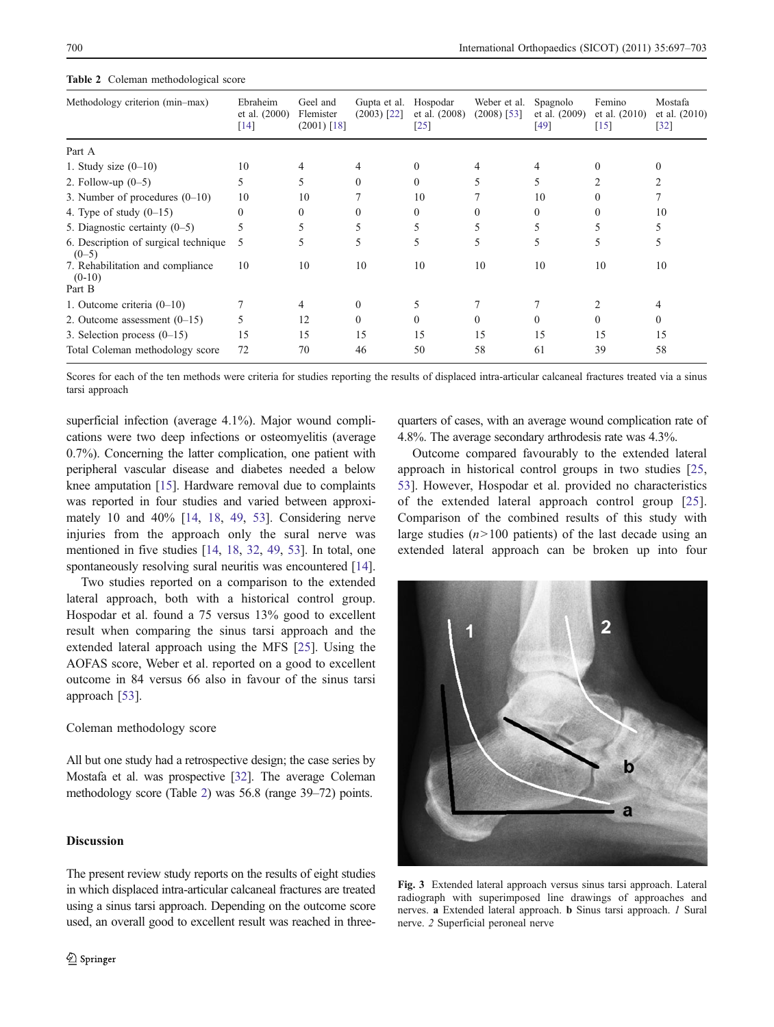| Methodology criterion (min-max)                        | Ebraheim<br>et al. (2000)<br>$[14]$ | Geel and<br>Flemister<br>$(2001)$ [18] | Gupta et al.<br>$(2003)$ [22] | Hospodar<br>et al. $(2008)$<br>$[25]$ | Weber et al.<br>$(2008)$ [53] | Spagnolo<br>et al. (2009)<br>[49] | Femino<br>et al. $(2010)$<br>$[15]$ | Mostafa<br>et al. (2010)<br>$[32]$ |
|--------------------------------------------------------|-------------------------------------|----------------------------------------|-------------------------------|---------------------------------------|-------------------------------|-----------------------------------|-------------------------------------|------------------------------------|
| Part A                                                 |                                     |                                        |                               |                                       |                               |                                   |                                     |                                    |
| 1. Study size $(0-10)$                                 | 10                                  | 4                                      | 4                             |                                       |                               |                                   |                                     |                                    |
| 2. Follow-up $(0-5)$                                   | 5                                   | 5                                      | $\Omega$                      | $\theta$                              | 5                             | 5                                 |                                     |                                    |
| 3. Number of procedures $(0-10)$                       | 10                                  | 10                                     |                               | 10                                    |                               | 10                                |                                     |                                    |
| 4. Type of study $(0-15)$                              | $\mathbf{0}$                        | 0                                      | 0                             | $\theta$                              |                               | $\Omega$                          |                                     | 10                                 |
| 5. Diagnostic certainty $(0-5)$                        | 5                                   | 5                                      | 5                             | 5.                                    |                               |                                   |                                     |                                    |
| 6. Description of surgical technique<br>$(0-5)$        | 5                                   | 5                                      | 5                             | 5.                                    | 5                             | 5.                                | 5                                   | 5                                  |
| 7. Rehabilitation and compliance<br>$(0-10)$<br>Part B | 10                                  | 10                                     | 10                            | 10                                    | 10                            | 10                                | 10                                  | 10                                 |
| 1. Outcome criteria $(0-10)$                           |                                     | 4                                      | $\theta$                      | 5.                                    |                               |                                   |                                     |                                    |
| 2. Outcome assessment $(0-15)$                         | 5                                   | 12                                     | $\Omega$                      | $\theta$                              | $\theta$                      | $\Omega$                          | 0                                   | $\theta$                           |
| 3. Selection process $(0-15)$                          | 15                                  | 15                                     | 15                            | 15                                    | 15                            | 15                                | 15                                  | 15                                 |
| Total Coleman methodology score                        | 72                                  | 70                                     | 46                            | 50                                    | 58                            | 61                                | 39                                  | 58                                 |

<span id="page-3-0"></span>Table 2 Coleman methodological score

Scores for each of the ten methods were criteria for studies reporting the results of displaced intra-articular calcaneal fractures treated via a sinus tarsi approach

superficial infection (average 4.1%). Major wound complications were two deep infections or osteomyelitis (average 0.7%). Concerning the latter complication, one patient with peripheral vascular disease and diabetes needed a below knee amputation [[15\]](#page-5-0). Hardware removal due to complaints was reported in four studies and varied between approximately 10 and 40% [[14](#page-5-0), [18,](#page-5-0) [49](#page-6-0), [53](#page-6-0)]. Considering nerve injuries from the approach only the sural nerve was mentioned in five studies [[14](#page-5-0), [18](#page-5-0), [32,](#page-5-0) [49,](#page-6-0) [53](#page-6-0)]. In total, one spontaneously resolving sural neuritis was encountered [[14\]](#page-5-0).

Two studies reported on a comparison to the extended lateral approach, both with a historical control group. Hospodar et al. found a 75 versus 13% good to excellent result when comparing the sinus tarsi approach and the extended lateral approach using the MFS [\[25](#page-5-0)]. Using the AOFAS score, Weber et al. reported on a good to excellent outcome in 84 versus 66 also in favour of the sinus tarsi approach [[53\]](#page-6-0).

### Coleman methodology score

All but one study had a retrospective design; the case series by Mostafa et al. was prospective [[32](#page-5-0)]. The average Coleman methodology score (Table 2) was 56.8 (range 39–72) points.

## **Discussion**

The present review study reports on the results of eight studies in which displaced intra-articular calcaneal fractures are treated using a sinus tarsi approach. Depending on the outcome score used, an overall good to excellent result was reached in threequarters of cases, with an average wound complication rate of 4.8%. The average secondary arthrodesis rate was 4.3%.

Outcome compared favourably to the extended lateral approach in historical control groups in two studies [[25,](#page-5-0) [53](#page-6-0)]. However, Hospodar et al. provided no characteristics of the extended lateral approach control group [\[25](#page-5-0)]. Comparison of the combined results of this study with large studies  $(n>100$  patients) of the last decade using an extended lateral approach can be broken up into four



Fig. 3 Extended lateral approach versus sinus tarsi approach. Lateral radiograph with superimposed line drawings of approaches and nerves. a Extended lateral approach. b Sinus tarsi approach. 1 Sural nerve. 2 Superficial peroneal nerve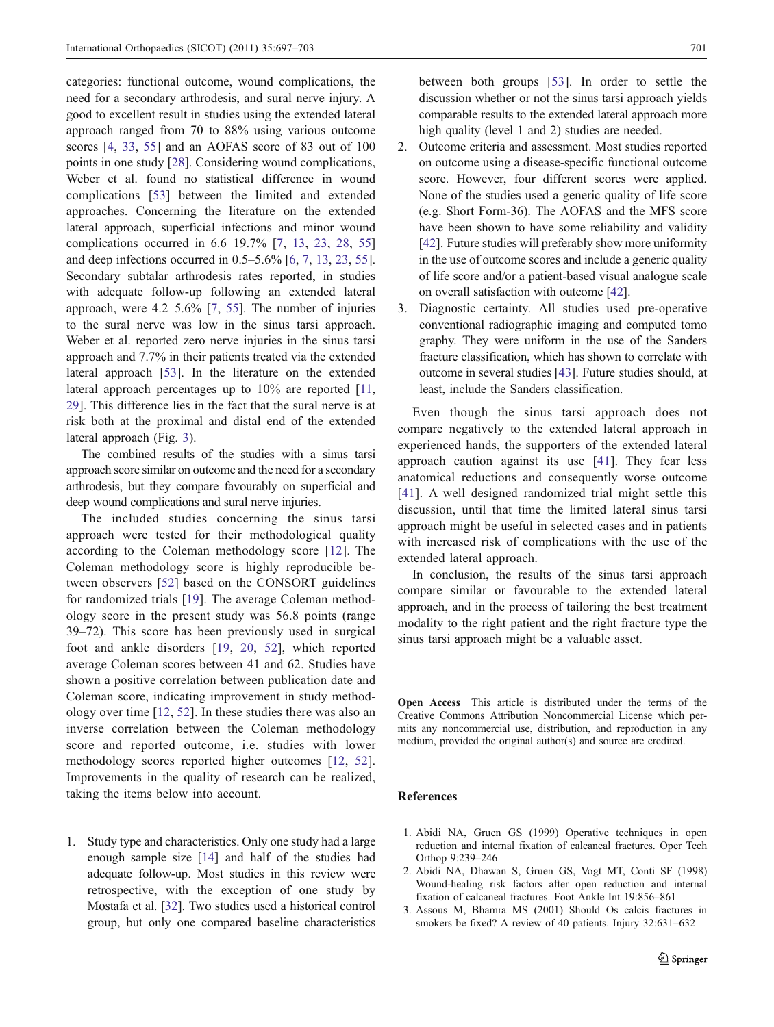<span id="page-4-0"></span>categories: functional outcome, wound complications, the need for a secondary arthrodesis, and sural nerve injury. A good to excellent result in studies using the extended lateral approach ranged from 70 to 88% using various outcome scores [[4,](#page-5-0) [33](#page-5-0), [55\]](#page-6-0) and an AOFAS score of 83 out of 100 points in one study [\[28](#page-5-0)]. Considering wound complications, Weber et al. found no statistical difference in wound complications [[53\]](#page-6-0) between the limited and extended approaches. Concerning the literature on the extended lateral approach, superficial infections and minor wound complications occurred in 6.6–19.7% [\[7,](#page-5-0) [13,](#page-5-0) [23,](#page-5-0) [28,](#page-5-0) [55\]](#page-6-0) and deep infections occurred in 0.5–5.6% [[6,](#page-5-0) [7,](#page-5-0) [13](#page-5-0), [23](#page-5-0), [55](#page-6-0)]. Secondary subtalar arthrodesis rates reported, in studies with adequate follow-up following an extended lateral approach, were 4.2–5.6% [\[7](#page-5-0), [55\]](#page-6-0). The number of injuries to the sural nerve was low in the sinus tarsi approach. Weber et al. reported zero nerve injuries in the sinus tarsi approach and 7.7% in their patients treated via the extended lateral approach [\[53](#page-6-0)]. In the literature on the extended lateral approach percentages up to 10% are reported [[11,](#page-5-0) [29\]](#page-5-0). This difference lies in the fact that the sural nerve is at risk both at the proximal and distal end of the extended lateral approach (Fig. [3\)](#page-3-0).

The combined results of the studies with a sinus tarsi approach score similar on outcome and the need for a secondary arthrodesis, but they compare favourably on superficial and deep wound complications and sural nerve injuries.

The included studies concerning the sinus tarsi approach were tested for their methodological quality according to the Coleman methodology score [[12\]](#page-5-0). The Coleman methodology score is highly reproducible between observers [\[52](#page-6-0)] based on the CONSORT guidelines for randomized trials [\[19\]](#page-5-0). The average Coleman methodology score in the present study was 56.8 points (range 39–72). This score has been previously used in surgical foot and ankle disorders [[19,](#page-5-0) [20](#page-5-0), [52\]](#page-6-0), which reported average Coleman scores between 41 and 62. Studies have shown a positive correlation between publication date and Coleman score, indicating improvement in study methodology over time [[12](#page-5-0), [52](#page-6-0)]. In these studies there was also an inverse correlation between the Coleman methodology score and reported outcome, i.e. studies with lower methodology scores reported higher outcomes [[12,](#page-5-0) [52](#page-6-0)]. Improvements in the quality of research can be realized, taking the items below into account.

1. Study type and characteristics. Only one study had a large enough sample size [\[14](#page-5-0)] and half of the studies had adequate follow-up. Most studies in this review were retrospective, with the exception of one study by Mostafa et al. [\[32\]](#page-5-0). Two studies used a historical control group, but only one compared baseline characteristics between both groups [[53\]](#page-6-0). In order to settle the discussion whether or not the sinus tarsi approach yields comparable results to the extended lateral approach more high quality (level 1 and 2) studies are needed.

- 2. Outcome criteria and assessment. Most studies reported on outcome using a disease-specific functional outcome score. However, four different scores were applied. None of the studies used a generic quality of life score (e.g. Short Form-36). The AOFAS and the MFS score have been shown to have some reliability and validity [[42\]](#page-5-0). Future studies will preferably show more uniformity in the use of outcome scores and include a generic quality of life score and/or a patient-based visual analogue scale on overall satisfaction with outcome [\[42\]](#page-5-0).
- 3. Diagnostic certainty. All studies used pre-operative conventional radiographic imaging and computed tomo graphy. They were uniform in the use of the Sanders fracture classification, which has shown to correlate with outcome in several studies [\[43\]](#page-5-0). Future studies should, at least, include the Sanders classification.

Even though the sinus tarsi approach does not compare negatively to the extended lateral approach in experienced hands, the supporters of the extended lateral approach caution against its use [[41\]](#page-5-0). They fear less anatomical reductions and consequently worse outcome [\[41\]](#page-5-0). A well designed randomized trial might settle this discussion, until that time the limited lateral sinus tarsi approach might be useful in selected cases and in patients with increased risk of complications with the use of the extended lateral approach.

In conclusion, the results of the sinus tarsi approach compare similar or favourable to the extended lateral approach, and in the process of tailoring the best treatment modality to the right patient and the right fracture type the sinus tarsi approach might be a valuable asset.

Open Access This article is distributed under the terms of the Creative Commons Attribution Noncommercial License which permits any noncommercial use, distribution, and reproduction in any medium, provided the original author(s) and source are credited.

#### References

- 1. Abidi NA, Gruen GS (1999) Operative techniques in open reduction and internal fixation of calcaneal fractures. Oper Tech Orthop 9:239–246
- 2. Abidi NA, Dhawan S, Gruen GS, Vogt MT, Conti SF (1998) Wound-healing risk factors after open reduction and internal fixation of calcaneal fractures. Foot Ankle Int 19:856–861
- 3. Assous M, Bhamra MS (2001) Should Os calcis fractures in smokers be fixed? A review of 40 patients. Injury 32:631–632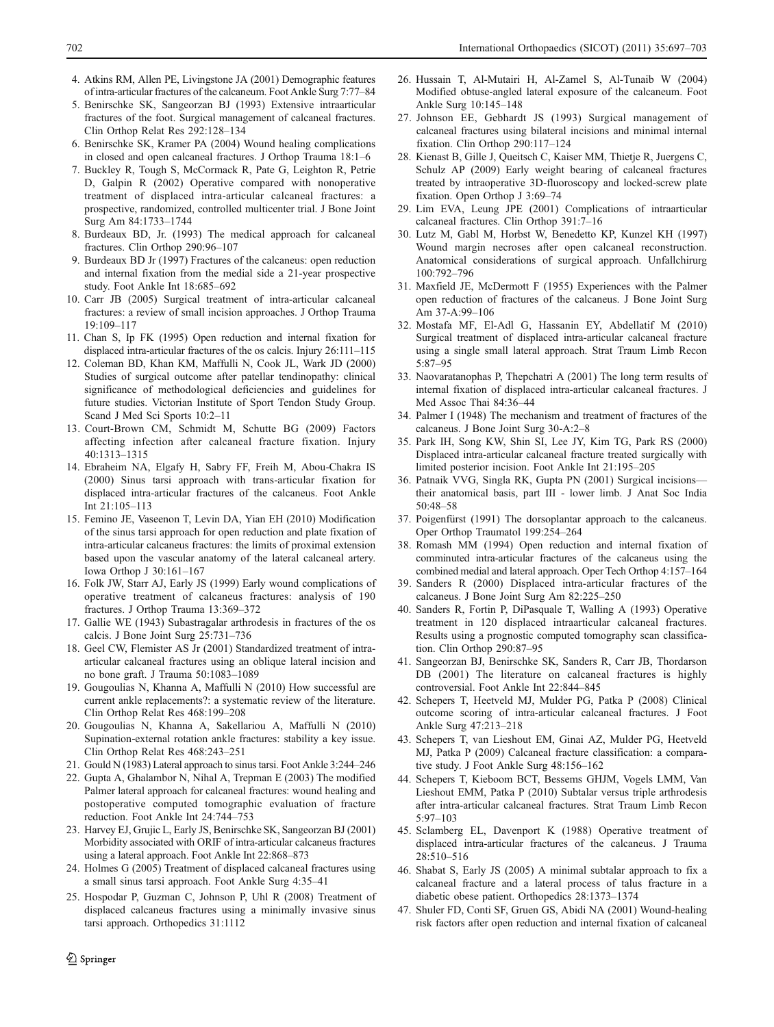- <span id="page-5-0"></span>4. Atkins RM, Allen PE, Livingstone JA (2001) Demographic features of intra-articular fractures of the calcaneum. Foot Ankle Surg 7:77–84
- 5. Benirschke SK, Sangeorzan BJ (1993) Extensive intraarticular fractures of the foot. Surgical management of calcaneal fractures. Clin Orthop Relat Res 292:128–134
- 6. Benirschke SK, Kramer PA (2004) Wound healing complications in closed and open calcaneal fractures. J Orthop Trauma 18:1–6
- 7. Buckley R, Tough S, McCormack R, Pate G, Leighton R, Petrie D, Galpin R (2002) Operative compared with nonoperative treatment of displaced intra-articular calcaneal fractures: a prospective, randomized, controlled multicenter trial. J Bone Joint Surg Am 84:1733–1744
- 8. Burdeaux BD, Jr. (1993) The medical approach for calcaneal fractures. Clin Orthop 290:96–107
- 9. Burdeaux BD Jr (1997) Fractures of the calcaneus: open reduction and internal fixation from the medial side a 21-year prospective study. Foot Ankle Int 18:685–692
- 10. Carr JB (2005) Surgical treatment of intra-articular calcaneal fractures: a review of small incision approaches. J Orthop Trauma 19:109–117
- 11. Chan S, Ip FK (1995) Open reduction and internal fixation for displaced intra-articular fractures of the os calcis. Injury 26:111–115
- 12. Coleman BD, Khan KM, Maffulli N, Cook JL, Wark JD (2000) Studies of surgical outcome after patellar tendinopathy: clinical significance of methodological deficiencies and guidelines for future studies. Victorian Institute of Sport Tendon Study Group. Scand J Med Sci Sports 10:2–11
- 13. Court-Brown CM, Schmidt M, Schutte BG (2009) Factors affecting infection after calcaneal fracture fixation. Injury 40:1313–1315
- 14. Ebraheim NA, Elgafy H, Sabry FF, Freih M, Abou-Chakra IS (2000) Sinus tarsi approach with trans-articular fixation for displaced intra-articular fractures of the calcaneus. Foot Ankle Int 21:105–113
- 15. Femino JE, Vaseenon T, Levin DA, Yian EH (2010) Modification of the sinus tarsi approach for open reduction and plate fixation of intra-articular calcaneus fractures: the limits of proximal extension based upon the vascular anatomy of the lateral calcaneal artery. Iowa Orthop J 30:161–167
- 16. Folk JW, Starr AJ, Early JS (1999) Early wound complications of operative treatment of calcaneus fractures: analysis of 190 fractures. J Orthop Trauma 13:369–372
- 17. Gallie WE (1943) Subastragalar arthrodesis in fractures of the os calcis. J Bone Joint Surg 25:731–736
- 18. Geel CW, Flemister AS Jr (2001) Standardized treatment of intraarticular calcaneal fractures using an oblique lateral incision and no bone graft. J Trauma 50:1083–1089
- 19. Gougoulias N, Khanna A, Maffulli N (2010) How successful are current ankle replacements?: a systematic review of the literature. Clin Orthop Relat Res 468:199–208
- 20. Gougoulias N, Khanna A, Sakellariou A, Maffulli N (2010) Supination-external rotation ankle fractures: stability a key issue. Clin Orthop Relat Res 468:243–251
- 21. Gould N (1983) Lateral approach to sinus tarsi. Foot Ankle 3:244–246
- 22. Gupta A, Ghalambor N, Nihal A, Trepman E (2003) The modified Palmer lateral approach for calcaneal fractures: wound healing and postoperative computed tomographic evaluation of fracture reduction. Foot Ankle Int 24:744–753
- 23. Harvey EJ, Grujic L, Early JS, Benirschke SK, Sangeorzan BJ (2001) Morbidity associated with ORIF of intra-articular calcaneus fractures using a lateral approach. Foot Ankle Int 22:868–873
- 24. Holmes G (2005) Treatment of displaced calcaneal fractures using a small sinus tarsi approach. Foot Ankle Surg 4:35–41
- 25. Hospodar P, Guzman C, Johnson P, Uhl R (2008) Treatment of displaced calcaneus fractures using a minimally invasive sinus tarsi approach. Orthopedics 31:1112
- 26. Hussain T, Al-Mutairi H, Al-Zamel S, Al-Tunaib W (2004) Modified obtuse-angled lateral exposure of the calcaneum. Foot Ankle Surg 10:145–148
- 27. Johnson EE, Gebhardt JS (1993) Surgical management of calcaneal fractures using bilateral incisions and minimal internal fixation. Clin Orthop 290:117–124
- 28. Kienast B, Gille J, Queitsch C, Kaiser MM, Thietje R, Juergens C, Schulz AP (2009) Early weight bearing of calcaneal fractures treated by intraoperative 3D-fluoroscopy and locked-screw plate fixation. Open Orthop J 3:69–74
- 29. Lim EVA, Leung JPE (2001) Complications of intraarticular calcaneal fractures. Clin Orthop 391:7–16
- 30. Lutz M, Gabl M, Horbst W, Benedetto KP, Kunzel KH (1997) Wound margin necroses after open calcaneal reconstruction. Anatomical considerations of surgical approach. Unfallchirurg 100:792–796
- 31. Maxfield JE, McDermott F (1955) Experiences with the Palmer open reduction of fractures of the calcaneus. J Bone Joint Surg Am 37-A:99–106
- 32. Mostafa MF, El-Adl G, Hassanin EY, Abdellatif M (2010) Surgical treatment of displaced intra-articular calcaneal fracture using a single small lateral approach. Strat Traum Limb Recon 5:87–95
- 33. Naovaratanophas P, Thepchatri A (2001) The long term results of internal fixation of displaced intra-articular calcaneal fractures. J Med Assoc Thai 84:36–44
- 34. Palmer I (1948) The mechanism and treatment of fractures of the calcaneus. J Bone Joint Surg 30-A:2–8
- 35. Park IH, Song KW, Shin SI, Lee JY, Kim TG, Park RS (2000) Displaced intra-articular calcaneal fracture treated surgically with limited posterior incision. Foot Ankle Int 21:195–205
- 36. Patnaik VVG, Singla RK, Gupta PN (2001) Surgical incisions their anatomical basis, part III - lower limb. J Anat Soc India 50:48–58
- 37. Poigenfürst (1991) The dorsoplantar approach to the calcaneus. Oper Orthop Traumatol 199:254–264
- 38. Romash MM (1994) Open reduction and internal fixation of comminuted intra-articular fractures of the calcaneus using the combined medial and lateral approach. Oper Tech Orthop 4:157–164
- 39. Sanders R (2000) Displaced intra-articular fractures of the calcaneus. J Bone Joint Surg Am 82:225–250
- 40. Sanders R, Fortin P, DiPasquale T, Walling A (1993) Operative treatment in 120 displaced intraarticular calcaneal fractures. Results using a prognostic computed tomography scan classification. Clin Orthop 290:87–95
- 41. Sangeorzan BJ, Benirschke SK, Sanders R, Carr JB, Thordarson DB (2001) The literature on calcaneal fractures is highly controversial. Foot Ankle Int 22:844–845
- 42. Schepers T, Heetveld MJ, Mulder PG, Patka P (2008) Clinical outcome scoring of intra-articular calcaneal fractures. J Foot Ankle Surg 47:213–218
- 43. Schepers T, van Lieshout EM, Ginai AZ, Mulder PG, Heetveld MJ, Patka P (2009) Calcaneal fracture classification: a comparative study. J Foot Ankle Surg 48:156–162
- 44. Schepers T, Kieboom BCT, Bessems GHJM, Vogels LMM, Van Lieshout EMM, Patka P (2010) Subtalar versus triple arthrodesis after intra-articular calcaneal fractures. Strat Traum Limb Recon 5:97–103
- 45. Sclamberg EL, Davenport K (1988) Operative treatment of displaced intra-articular fractures of the calcaneus. J Trauma 28:510–516
- 46. Shabat S, Early JS (2005) A minimal subtalar approach to fix a calcaneal fracture and a lateral process of talus fracture in a diabetic obese patient. Orthopedics 28:1373–1374
- 47. Shuler FD, Conti SF, Gruen GS, Abidi NA (2001) Wound-healing risk factors after open reduction and internal fixation of calcaneal